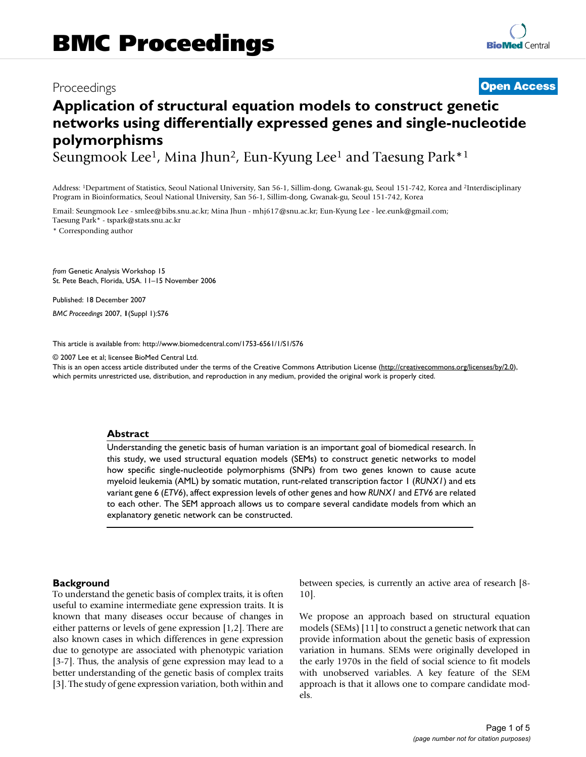## Proceedings **[Open Access](http://www.biomedcentral.com/info/about/charter/)**

# **Application of structural equation models to construct genetic networks using differentially expressed genes and single-nucleotide polymorphisms**

Seungmook Lee<sup>1</sup>, Mina Jhun<sup>2</sup>, Eun-Kyung Lee<sup>1</sup> and Taesung Park<sup>\*1</sup>

Address: 1Department of Statistics, Seoul National University, San 56-1, Sillim-dong, Gwanak-gu, Seoul 151-742, Korea and 2Interdisciplinary Program in Bioinformatics, Seoul National University, San 56-1, Sillim-dong, Gwanak-gu, Seoul 151-742, Korea

Email: Seungmook Lee - smlee@bibs.snu.ac.kr; Mina Jhun - mhj617@snu.ac.kr; Eun-Kyung Lee - lee.eunk@gmail.com; Taesung Park\* - tspark@stats.snu.ac.kr

\* Corresponding author

*from* Genetic Analysis Workshop 15 St. Pete Beach, Florida, USA. 11–15 November 2006

Published: 18 December 2007 *BMC Proceedings* 2007, **1**(Suppl 1):S76

[This article is available from: http://www.biomedcentral.com/1753-6561/1/S1/S76](http://www.biomedcentral.com/1753-6561/1/S1/S76)

© 2007 Lee et al; licensee BioMed Central Ltd.

This is an open access article distributed under the terms of the Creative Commons Attribution License [\(http://creativecommons.org/licenses/by/2.0\)](http://creativecommons.org/licenses/by/2.0), which permits unrestricted use, distribution, and reproduction in any medium, provided the original work is properly cited.

#### **Abstract**

Understanding the genetic basis of human variation is an important goal of biomedical research. In this study, we used structural equation models (SEMs) to construct genetic networks to model how specific single-nucleotide polymorphisms (SNPs) from two genes known to cause acute myeloid leukemia (AML) by somatic mutation, runt-related transcription factor 1 (*RUNX1*) and ets variant gene 6 (*ETV6*), affect expression levels of other genes and how *RUNX1* and *ETV6* are related to each other. The SEM approach allows us to compare several candidate models from which an explanatory genetic network can be constructed.

#### **Background**

To understand the genetic basis of complex traits, it is often useful to examine intermediate gene expression traits. It is known that many diseases occur because of changes in either patterns or levels of gene expression [1,2]. There are also known cases in which differences in gene expression due to genotype are associated with phenotypic variation [3-[7](#page-4-0)]. Thus, the analysis of gene expression may lead to a better understanding of the genetic basis of complex traits [3]. The study of gene expression variation, both within and between species, is currently an active area of research [8- 10].

We propose an approach based on structural equation models (SEMs) [11] to construct a genetic network that can provide information about the genetic basis of expression variation in humans. SEMs were originally developed in the early 1970s in the field of social science to fit models with unobserved variables. A key feature of the SEM approach is that it allows one to compare candidate models.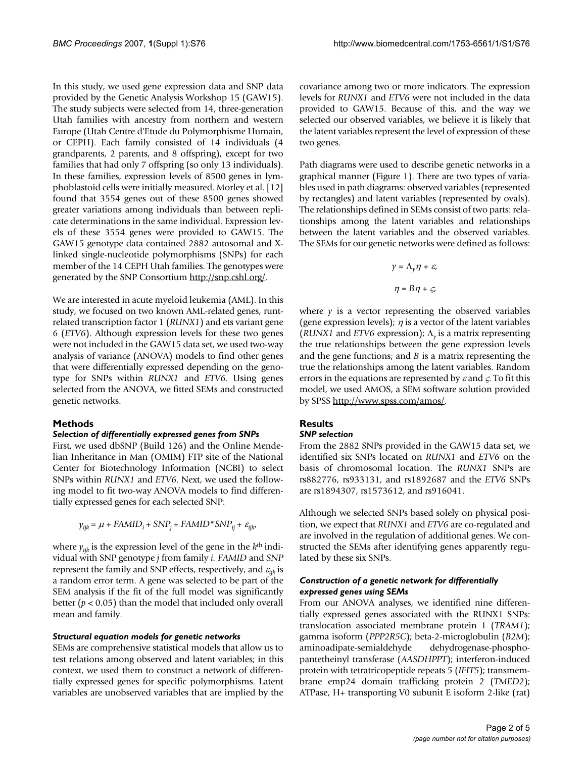In this study, we used gene expression data and SNP data provided by the Genetic Analysis Workshop 15 (GAW15). The study subjects were selected from 14, three-generation Utah families with ancestry from northern and western Europe (Utah Centre d'Etude du Polymorphisme Humain, or CEPH). Each family consisted of 14 individuals (4 grandparents, 2 parents, and 8 offspring), except for two families that had only 7 offspring (so only 13 individuals). In these families, expression levels of 8500 genes in lymphoblastoid cells were initially measured. Morley et al. [12] found that 3554 genes out of these 8500 genes showed greater variations among individuals than between replicate determinations in the same individual. Expression levels of these 3554 genes were provided to GAW15. The GAW15 genotype data contained 2882 autosomal and Xlinked single-nucleotide polymorphisms (SNPs) for each member of the 14 CEPH Utah families. The genotypes were generated by the SNP Consortium<http://snp.cshl.org/>.

We are interested in acute myeloid leukemia (AML). In this study, we focused on two known AML-related genes, runtrelated transcription factor 1 (*RUNX1*) and ets variant gene 6 (*ETV6*). Although expression levels for these two genes were not included in the GAW15 data set, we used two-way analysis of variance (ANOVA) models to find other genes that were differentially expressed depending on the genotype for SNPs within *RUNX1* and *ETV6*. Using genes selected from the ANOVA, we fitted SEMs and constructed genetic networks.

### **Methods**

#### *Selection of differentially expressed genes from SNPs*

First, we used dbSNP (Build 126) and the Online Mendelian Inheritance in Man (OMIM) FTP site of the National Center for Biotechnology Information (NCBI) to select SNPs within *RUNX1* and *ETV6*. Next, we used the following model to fit two-way ANOVA models to find differentially expressed genes for each selected SNP:

$$
\gamma_{ijk} = \mu + FAMID_i + SNP_j + FAMID * SNP_{ij} + \varepsilon_{ijk'}
$$

where  $\gamma_{ijk}$  is the expression level of the gene in the  $k^{\text{th}}$  individual with SNP genotype *j* from family *i. FAMID* and *SNP* represent the family and SNP effects, respectively, and <sup>ε</sup>*ijk* is a random error term. A gene was selected to be part of the SEM analysis if the fit of the full model was significantly better ( $p < 0.05$ ) than the model that included only overall mean and family.

#### *Structural equation models for genetic networks*

SEMs are comprehensive statistical models that allow us to test relations among observed and latent variables; in this context, we used them to construct a network of differentially expressed genes for specific polymorphisms. Latent variables are unobserved variables that are implied by the

covariance among two or more indicators. The expression levels for *RUNX1* and *ETV6* were not included in the data provided to GAW15. Because of this, and the way we selected our observed variables, we believe it is likely that the latent variables represent the level of expression of these two genes.

Path diagrams were used to describe genetic networks in a graphical manner (Figure 1). There are two types of variables used in path diagrams: observed variables (represented by rectangles) and latent variables (represented by ovals). The relationships defined in SEMs consist of two parts: relationships among the latent variables and relationships between the latent variables and the observed variables. The SEMs for our genetic networks were defined as follows:

$$
\gamma = \Lambda_{\gamma}\eta + \varepsilon,
$$
  

$$
\eta = B\eta + \zeta,
$$

where  $y$  is a vector representing the observed variables (gene expression levels);  $\eta$  is a vector of the latent variables (*RUNX1* and *ETV6* expression); Λ*y* is a matrix representing the true relationships between the gene expression levels and the gene functions; and *B* is a matrix representing the true the relationships among the latent variables. Random errors in the equations are represented by  $\varepsilon$  and  $\zeta$ . To fit this model, we used AMOS, a SEM software solution provided by SPSS [http://www.spss.com/amos/.](http://www.spss.com/amos/)

#### **Results** *SNP selection*

From the 2882 SNPs provided in the GAW15 data set, we identified six SNPs located on *RUNX1* and *ETV6* on the basis of chromosomal location. The *RUNX1* SNPs are rs882776, rs933131, and rs1892687 and the *ETV6* SNPs are rs1894307, rs1573612, and rs916041.

Although we selected SNPs based solely on physical position, we expect that *RUNX1* and *ETV6* are co-regulated and are involved in the regulation of additional genes. We constructed the SEMs after identifying genes apparently regulated by these six SNPs.

### *Construction of a genetic network for differentially expressed genes using SEMs*

From our ANOVA analyses, we identified nine differentially expressed genes associated with the RUNX1 SNPs: translocation associated membrane protein 1 (*TRAM1*); gamma isoform (*PPP2R5C*); beta-2-microglobulin (*B2M*); aminoadipate-semialdehyde dehydrogenase-phosphopantetheinyl transferase (*AASDHPPT*); interferon-induced protein with tetratricopeptide repeats 5 (*IFIT5*); transmembrane emp24 domain trafficking protein 2 (*TMED2*); ATPase, H+ transporting V0 subunit E isoform 2-like (rat)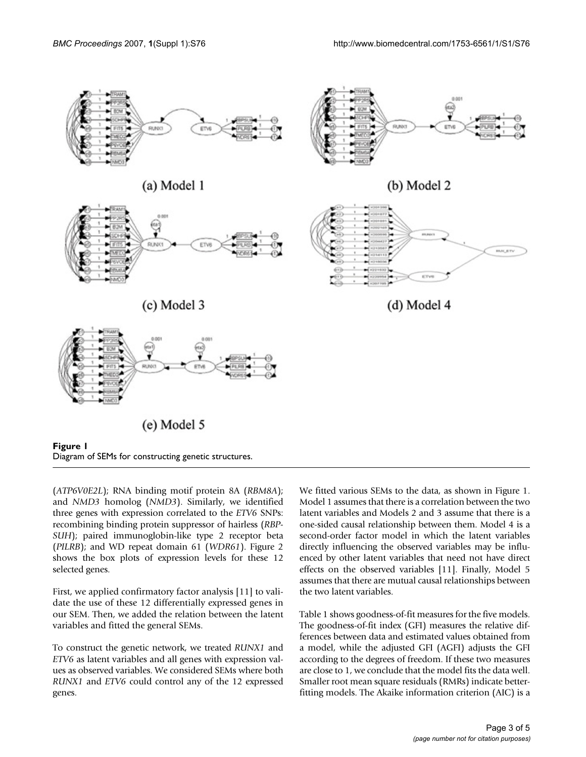

Diagram of SEMs for constructing genetic structures.

(*ATP6V0E2L*); RNA binding motif protein 8A (*RBM8A*); and *NMD3* homolog (*NMD3*). Similarly, we identified three genes with expression correlated to the *ETV6* SNPs: recombining binding protein suppressor of hairless (*RBP-SUH*); paired immunoglobin-like type 2 receptor beta (*PILRB*); and WD repeat domain 61 (*WDR61*). Figure 2 shows the box plots of expression levels for these 12 selected genes.

First, we applied confirmatory factor analysis [11] to validate the use of these 12 differentially expressed genes in our SEM. Then, we added the relation between the latent variables and fitted the general SEMs.

To construct the genetic network, we treated *RUNX1* and *ETV6* as latent variables and all genes with expression values as observed variables. We considered SEMs where both *RUNX1* and *ETV6* could control any of the 12 expressed genes.

We fitted various SEMs to the data, as shown in Figure 1. Model 1 assumes that there is a correlation between the two latent variables and Models 2 and 3 assume that there is a one-sided causal relationship between them. Model 4 is a second-order factor model in which the latent variables directly influencing the observed variables may be influenced by other latent variables that need not have direct effects on the observed variables [11]. Finally, Model 5 assumes that there are mutual causal relationships between the two latent variables.

Table 1 shows goodness-of-fit measures for the five models. The goodness-of-fit index (GFI) measures the relative differences between data and estimated values obtained from a model, while the adjusted GFI (AGFI) adjusts the GFI according to the degrees of freedom. If these two measures are close to 1, we conclude that the model fits the data well. Smaller root mean square residuals (RMRs) indicate betterfitting models. The Akaike information criterion (AIC) is a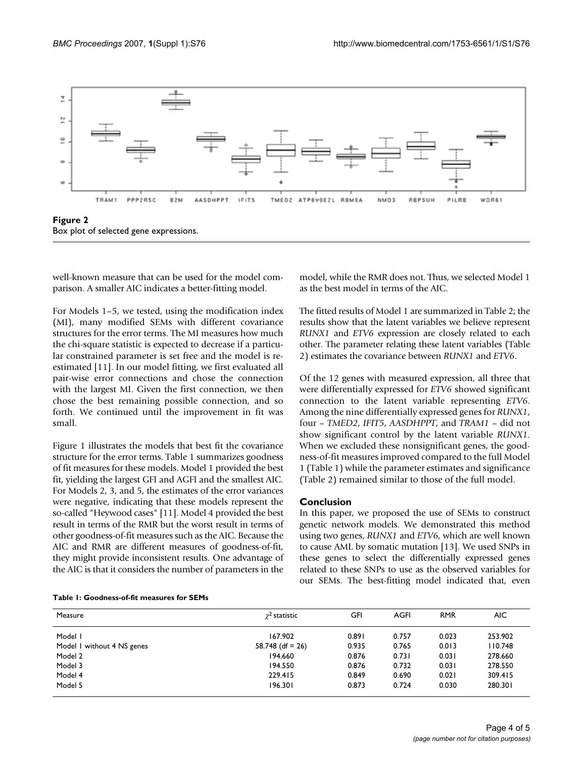

well-known measure that can be used for the model comparison. A smaller AIC indicates a better-fitting model.

For Models 1–5, we tested, using the modification index (MI), many modified SEMs with different covariance structures for the error terms. The MI measures how much the chi-square statistic is expected to decrease if a particular constrained parameter is set free and the model is reestimated [11]. In our model fitting, we first evaluated all pair-wise error connections and chose the connection with the largest MI. Given the first connection, we then chose the best remaining possible connection, and so forth. We continued until the improvement in fit was small.

Figure 1 illustrates the models that best fit the covariance structure for the error terms. Table 1 summarizes goodness of fit measures for these models. Model 1 provided the best fit, yielding the largest GFI and AGFI and the smallest AIC. For Models 2, 3, and 5, the estimates of the error variances were negative, indicating that these models represent the so-called "Heywood cases" [11]. Model 4 provided the best result in terms of the RMR but the worst result in terms of other goodness-of-fit measures such as the AIC. Because the AIC and RMR are different measures of goodness-of-fit, they might provide inconsistent results. One advantage of the AIC is that it considers the number of parameters in the model, while the RMR does not. Thus, we selected Model 1 as the best model in terms of the AIC.

The fitted results of Model 1 are summarized in Table 2; the results show that the latent variables we believe represent *RUNX1* and *ETV6* expression are closely related to each other. The parameter relating these latent variables (Table 2) estimates the covariance between *RUNX1* and *ETV6*.

Of the 12 genes with measured expression, all three that were differentially expressed for *ETV6* showed significant connection to the latent variable representing *ETV6*. Among the nine differentially expressed genes for *RUNX1*, four – *TMED2*, *IFIT5*, *AASDHPPT*, and *TRAM1* – did not show significant control by the latent variable *RUNX1*. When we excluded these nonsignificant genes, the goodness-of-fit measures improved compared to the full Model 1 (Table 1) while the parameter estimates and significance (Table 2) remained similar to those of the full model.

### **Conclusion**

In this paper, we proposed the use of SEMs to construct genetic network models. We demonstrated this method using two genes, *RUNX1* and *ETV6*, which are well known to cause AML by somatic mutation [13]. We used SNPs in these genes to select the differentially expressed genes related to these SNPs to use as the observed variables for our SEMs. The best-fitting model indicated that, even

|  |  |  |  | Table 1: Goodness-of-fit measures for SEMs |  |  |
|--|--|--|--|--------------------------------------------|--|--|
|--|--|--|--|--------------------------------------------|--|--|

| Measure                    | $\gamma^2$ statistic | GFI   | AGFI  | <b>RMR</b> | AIC.    |
|----------------------------|----------------------|-------|-------|------------|---------|
| Model I                    | 167.902              | 0.891 | 0.757 | 0.023      | 253.902 |
| Model 1 without 4 NS genes | 58.748 (df = $26$ )  | 0.935 | 0.765 | 0.013      | 110.748 |
| Model 2                    | 194.660              | 0.876 | 0.731 | 0.031      | 278.660 |
| Model 3                    | 194.550              | 0.876 | 0.732 | 0.031      | 278.550 |
| Model 4                    | 229.415              | 0.849 | 0.690 | 0.021      | 309.415 |
| Model 5                    | 196.301              | 0.873 | 0.724 | 0.030      | 280.301 |